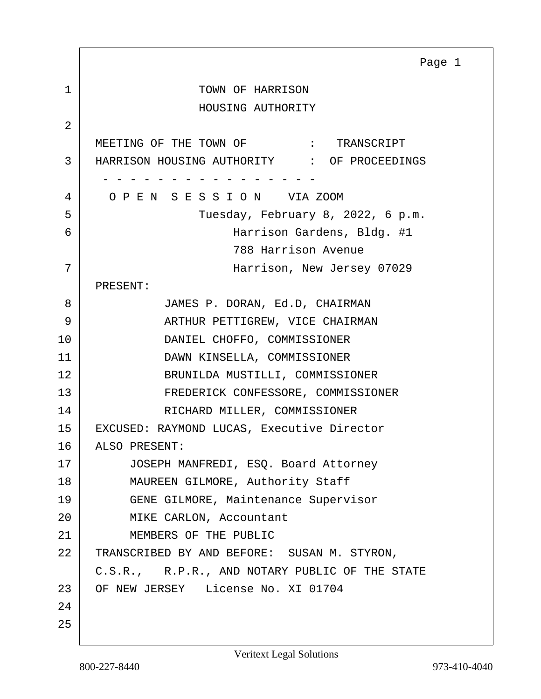<span id="page-0-0"></span>1 TOWN OF HARRISON HOUSING AUTHORITY 2 MEETING OF THE TOWN OF  $\cdot$  TRANSCRIPT 3 HARRISON HOUSING AUTHORITY : OF PROCEEDINGS - - - - - - - - - - - - - - - - 4 O P E N S E S S I O N VIA ZOOM 5 Tuesday, February 8, 2022, 6 p.m. 6 Harrison Gardens, Bldg. #1 788 Harrison Avenue 7 Harrison, New Jersey 07029 PRESENT: 8 JAMES P. DORAN, Ed.D, CHAIRMAN 9 ARTHUR PETTIGREW, VICE CHAIRMAN 10 DANIEL CHOFFO, COMMISSIONER 11 DAWN KINSELLA, COMMISSIONER 12 BRUNILDA MUSTILLI, COMMISSIONER 13 FREDERICK CONFESSORE, COMMISSIONER 14 RICHARD MILLER, COMMISSIONER 15 EXCUSED: RAYMOND LUCAS, Executive Director 16 ALSO PRESENT: 17 | JOSEPH MANFREDI, ESQ. Board Attorney 18 | MAUREEN GILMORE, Authority Staff 19 GENE GILMORE, Maintenance Supervisor 20 MIKE CARLON, Accountant 21 MEMBERS OF THE PUBLIC 22 TRANSCRIBED BY AND BEFORE: SUSAN M. STYRON, C.S.R., R.P.R., AND NOTARY PUBLIC OF THE STATE 23 OF NEW JERSEY License No. XI 01704  $2.4$ 25 Page 1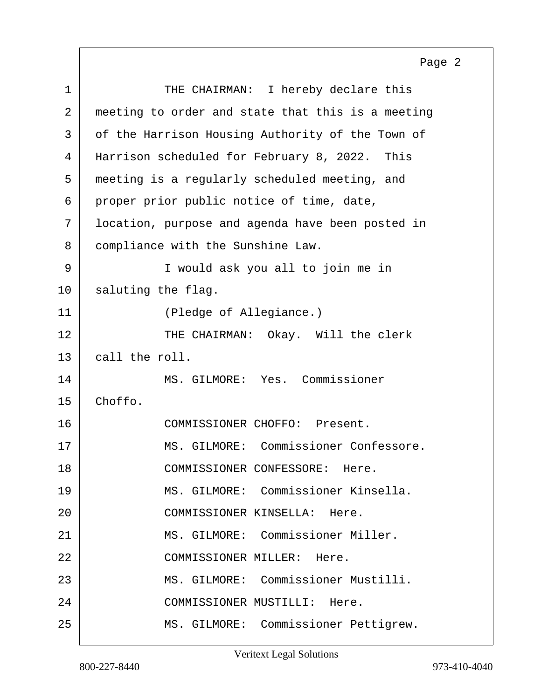<span id="page-1-0"></span>1 THE CHAIRMAN: I hereby declare this 2 meeting to order and state that this is a meeting 3 of the Harrison Housing Authority of the Town of 4 Harrison scheduled for February 8, 2022. This 5 meeting is a regularly scheduled meeting, and 6 proper prior public notice of time, date, 7 location, purpose and agenda have been posted in 8 compliance with the Sunshine Law. 9 I would ask you all to join me in 10 | saluting the flag. 11 (Pledge of Allegiance.) 12 THE CHAIRMAN: Okay. Will the clerk 13 call the roll. 14 MS. GILMORE: Yes. Commissioner 15 Choffo. 16 COMMISSIONER CHOFFO: Present. 17 | MS. GILMORE: Commissioner Confessore. 18 COMMISSIONER CONFESSORE: Here. 19 MS. GILMORE: Commissioner Kinsella. 20 COMMISSIONER KINSELLA: Here. 21 MS. GILMORE: Commissioner Miller. 22 COMMISSIONER MILLER: Here. 23 MS. GILMORE: Commissioner Mustilli. 24 COMMISSIONER MUSTILLI: Here. 25 | MS. GILMORE: Commissioner Pettigrew. Page 2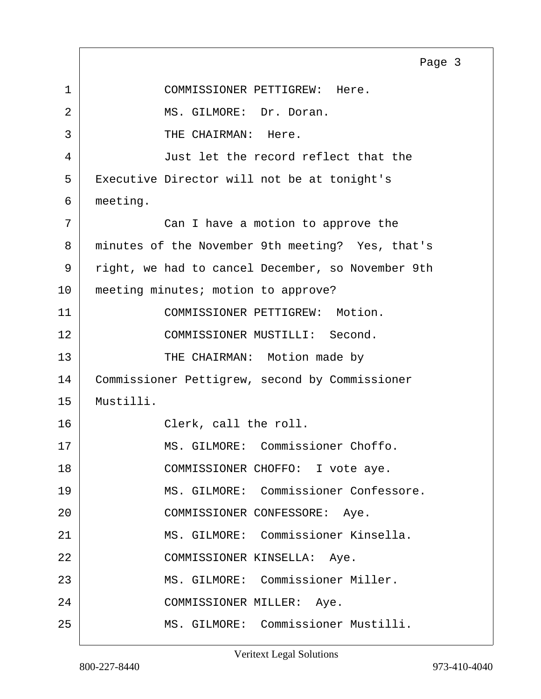<span id="page-2-0"></span>1 COMMISSIONER PETTIGREW: Here. 2 MS. GILMORE: Dr. Doran. 3 THE CHAIRMAN: Here. 4 Just let the record reflect that the 5 | Executive Director will not be at tonight's 6 meeting. 7 Can I have a motion to approve the 8 | minutes of the November 9th meeting? Yes, that's 9 | right, we had to cancel December, so November 9th 10 meeting minutes; motion to approve? 11 COMMISSIONER PETTIGREW: Motion. 12 COMMISSIONER MUSTILLI: Second. 13 THE CHAIRMAN: Motion made by 14 Commissioner Pettigrew, second by Commissioner 15 Mustilli. 16 Clerk, call the roll. 17 | MS. GILMORE: Commissioner Choffo. 18 | COMMISSIONER CHOFFO: I vote aye. 19 MS. GILMORE: Commissioner Confessore. 20 | COMMISSIONER CONFESSORE: Aye. 21 MS. GILMORE: Commissioner Kinsella. 22 COMMISSIONER KINSELLA: Aye. 23 MS. GILMORE: Commissioner Miller. 24 COMMISSIONER MILLER: Aye. 25 MS. GILMORE: Commissioner Mustilli. Page 3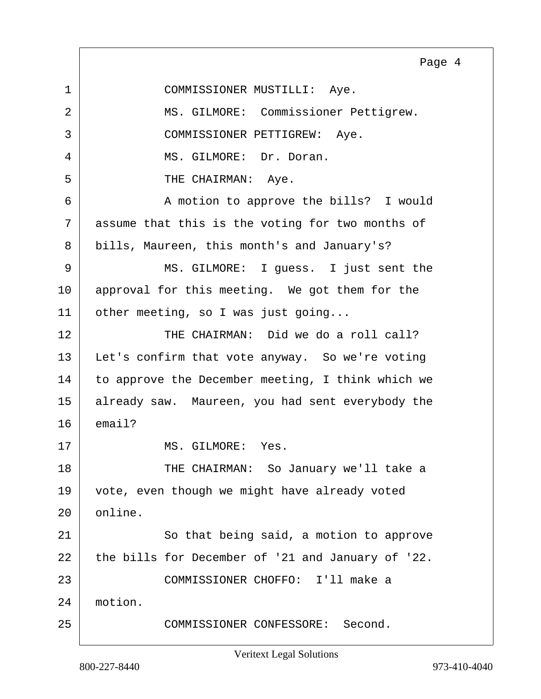<span id="page-3-0"></span>1 COMMISSIONER MUSTILLI: Aye. 2 MS. GILMORE: Commissioner Pettigrew. 3 COMMISSIONER PETTIGREW: Aye. 4 MS. GILMORE: Dr. Doran. 5 THE CHAIRMAN: Aye. 6 | A motion to approve the bills? I would 7 assume that this is the voting for two months of 8 bills, Maureen, this month's and January's? 9 MS. GILMORE: I guess. I just sent the 10 approval for this meeting. We got them for the 11 | other meeting, so I was just going... 12 THE CHAIRMAN: Did we do a roll call? 13 | Let's confirm that vote anyway. So we're voting 14 to approve the December meeting, I think which we 15 already saw. Maureen, you had sent everybody the  $16$  email? 17 MS. GILMORE: Yes. 18 THE CHAIRMAN: So January we'll take a 19 vote, even though we might have already voted 20 online. 21 So that being said, a motion to approve 22 the bills for December of '21 and January of '22. 23 COMMISSIONER CHOFFO: I'll make a 24 motion. 25 COMMISSIONER CONFESSORE: Second. Page 4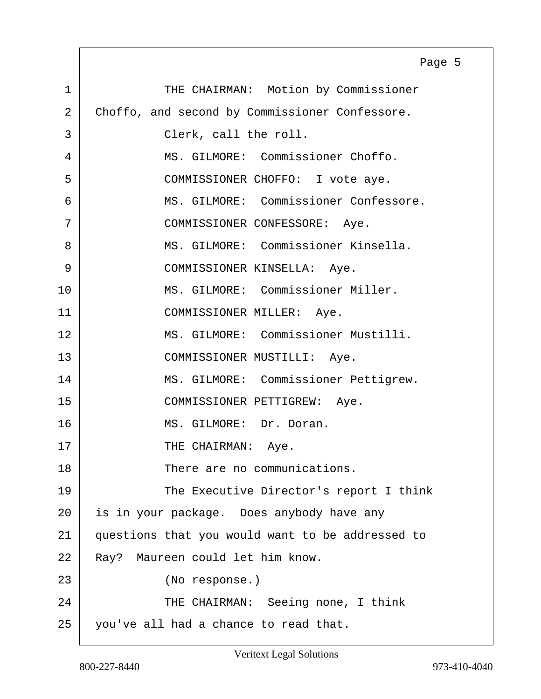<span id="page-4-0"></span>1 THE CHAIRMAN: Motion by Commissioner 2 Choffo, and second by Commissioner Confessore. 3 Clerk, call the roll. 4 MS. GILMORE: Commissioner Choffo. 5 COMMISSIONER CHOFFO: I vote aye. 6 MS. GILMORE: Commissioner Confessore. 7 COMMISSIONER CONFESSORE: Aye. 8 MS. GILMORE: Commissioner Kinsella. 9 | COMMISSIONER KINSELLA: Aye. 10 | MS. GILMORE: Commissioner Miller. 11 COMMISSIONER MILLER: Aye. 12 MS. GILMORE: Commissioner Mustilli. 13 COMMISSIONER MUSTILLI: Aye. 14 | MS. GILMORE: Commissioner Pettigrew. 15 COMMISSIONER PETTIGREW: Aye. 16 MS. GILMORE: Dr. Doran. 17 THE CHAIRMAN: Aye. 18 There are no communications. 19 The Executive Director's report I think 20 is in your package. Does anybody have any 21 questions that you would want to be addressed to 22 Ray? Maureen could let him know. 23 (No response.) 24 THE CHAIRMAN: Seeing none, I think 25 you've all had a chance to read that. Page 5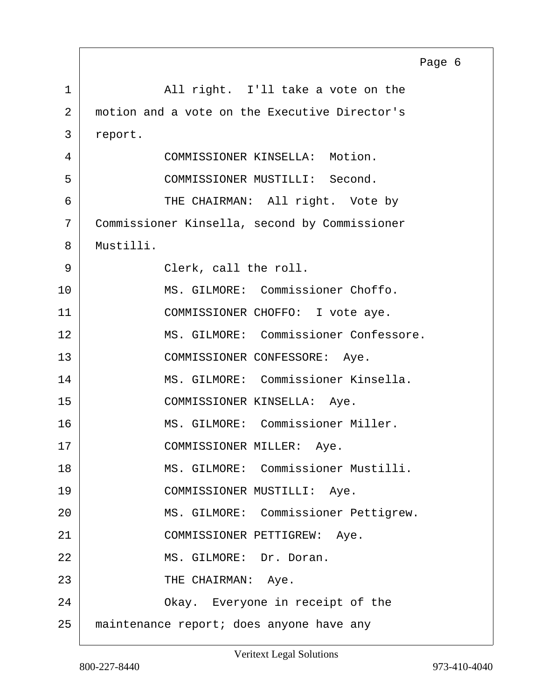<span id="page-5-0"></span>

|             | Page 6                                        |
|-------------|-----------------------------------------------|
| $\mathbf 1$ | All right. I'll take a vote on the            |
| 2           | motion and a vote on the Executive Director's |
| 3           | report.                                       |
| 4           | COMMISSIONER KINSELLA: Motion.                |
| 5           | COMMISSIONER MUSTILLI: Second.                |
| 6           | THE CHAIRMAN: All right. Vote by              |
| 7           | Commissioner Kinsella, second by Commissioner |
| 8           | Mustilli.                                     |
| 9           | Clerk, call the roll.                         |
| 10          | MS. GILMORE: Commissioner Choffo.             |
| 11          | COMMISSIONER CHOFFO: I vote aye.              |
| 12          | MS. GILMORE: Commissioner Confessore.         |
| 13          | COMMISSIONER CONFESSORE: Aye.                 |
| 14          | MS. GILMORE: Commissioner Kinsella.           |
| 15          | COMMISSIONER KINSELLA: Aye.                   |
| 16          | MS. GILMORE: Commissioner Miller.             |
| 17          | COMMISSIONER MILLER: Aye.                     |
| 18          | MS. GILMORE: Commissioner Mustilli.           |
| 19          | COMMISSIONER MUSTILLI: Aye.                   |
| 20          | MS. GILMORE: Commissioner Pettigrew.          |
| 21          | COMMISSIONER PETTIGREW: Aye.                  |
| 22          | MS. GILMORE: Dr. Doran.                       |
| 23          | THE CHAIRMAN: Aye.                            |
| 24          | Okay. Everyone in receipt of the              |
| 25          | maintenance report; does anyone have any      |

Е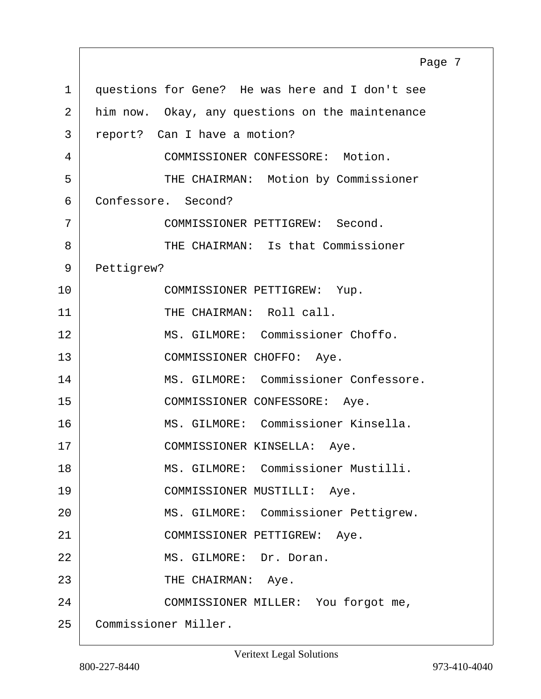<span id="page-6-0"></span>1 questions for Gene? He was here and I don't see 2 him now. Okay, any questions on the maintenance 3 report? Can I have a motion? 4 COMMISSIONER CONFESSORE: Motion. 5 | THE CHAIRMAN: Motion by Commissioner 6 Confessore. Second? 7 COMMISSIONER PETTIGREW: Second. 8 THE CHAIRMAN: Is that Commissioner 9 Pettigrew? 10 COMMISSIONER PETTIGREW: Yup. 11 THE CHAIRMAN: Roll call. 12 | MS. GILMORE: Commissioner Choffo. 13 COMMISSIONER CHOFFO: Aye. 14 | MS. GILMORE: Commissioner Confessore. 15 | COMMISSIONER CONFESSORE: Aye. 16 MS. GILMORE: Commissioner Kinsella. 17 | COMMISSIONER KINSELLA: Aye. 18 MS. GILMORE: Commissioner Mustilli. 19 COMMISSIONER MUSTILLI: Aye. 20 | MS. GILMORE: Commissioner Pettigrew. 21 COMMISSIONER PETTIGREW: Aye. 22 MS. GILMORE: Dr. Doran. 23 | THE CHAIRMAN: Aye. 24 COMMISSIONER MILLER: You forgot me, 25 Commissioner Miller. Page 7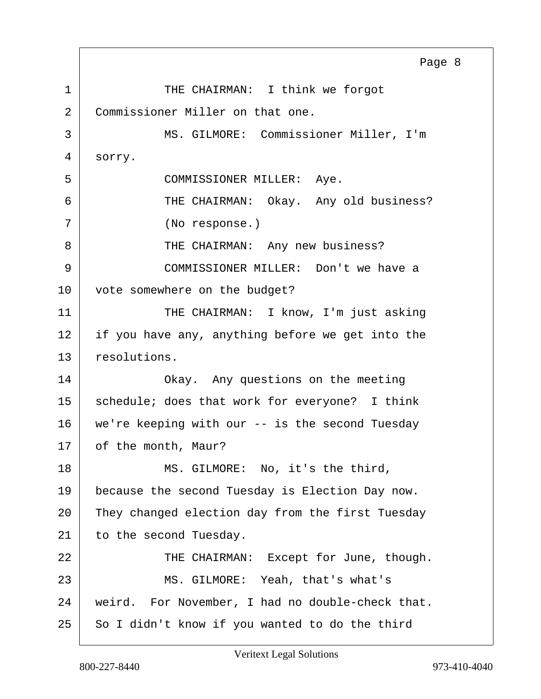<span id="page-7-0"></span>1 THE CHAIRMAN: I think we forgot 2 Commissioner Miller on that one. 3 MS. GILMORE: Commissioner Miller, I'm 4 sorry. 5 COMMISSIONER MILLER: Aye. 6 THE CHAIRMAN: Okay. Any old business? 7 (No response.) 8 THE CHAIRMAN: Any new business? 9 COMMISSIONER MILLER: Don't we have a 10 vote somewhere on the budget? 11 THE CHAIRMAN: I know, I'm just asking  $12$  if you have any, anything before we get into the 13 resolutions. 14 Okay. Any questions on the meeting 15 | schedule; does that work for everyone? I think 16 | we're keeping with our -- is the second Tuesday 17 of the month, Maur? 18 | MS. GILMORE: No, it's the third, 19 because the second Tuesday is Election Day now. 20 They changed election day from the first Tuesday 21 to the second Tuesday. 22 THE CHAIRMAN: Except for June, though. 23 MS. GILMORE: Yeah, that's what's 24 weird. For November, I had no double-check that. 25 So I didn't know if you wanted to do the third Page 8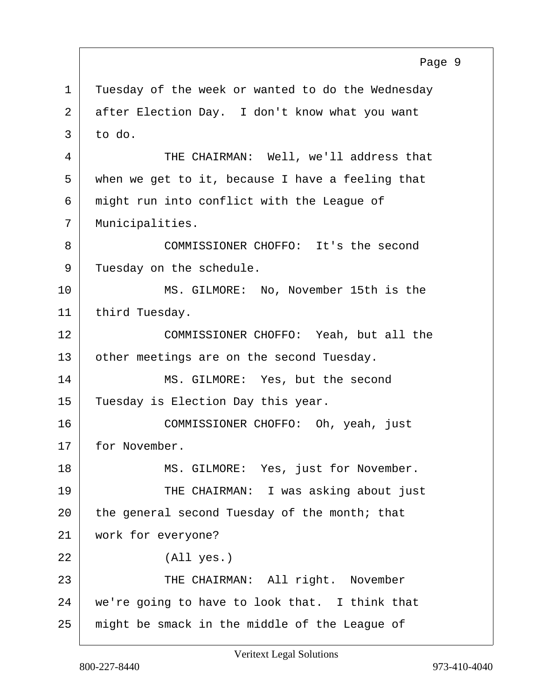<span id="page-8-0"></span>

|                | Page 9                                            |
|----------------|---------------------------------------------------|
| $\mathbf{1}$   | Tuesday of the week or wanted to do the Wednesday |
| $\overline{2}$ | after Election Day. I don't know what you want    |
| 3              | to do.                                            |
| 4              | THE CHAIRMAN: Well, we'll address that            |
| 5              | when we get to it, because I have a feeling that  |
| 6              | might run into conflict with the League of        |
| 7              | Municipalities.                                   |
| 8              | COMMISSIONER CHOFFO: It's the second              |
| 9              | Tuesday on the schedule.                          |
| 10             | MS. GILMORE: No, November 15th is the             |
| 11             | third Tuesday.                                    |
| 12             | COMMISSIONER CHOFFO: Yeah, but all the            |
| 13             | other meetings are on the second Tuesday.         |
| 14             | MS. GILMORE: Yes, but the second                  |
| 15             | Tuesday is Election Day this year.                |
| 16             | COMMISSIONER CHOFFO: Oh, yeah, just               |
| 17             | for November.                                     |
| 18             | MS. GILMORE: Yes, just for November.              |
| 19             | THE CHAIRMAN: I was asking about just             |
| 20             | the general second Tuesday of the month; that     |
| 21             | work for everyone?                                |
| 22             | (All yes.)                                        |
| 23             | THE CHAIRMAN: All right. November                 |
| 24             | we're going to have to look that. I think that    |
| 25             | might be smack in the middle of the League of     |

Veritext Legal Solutions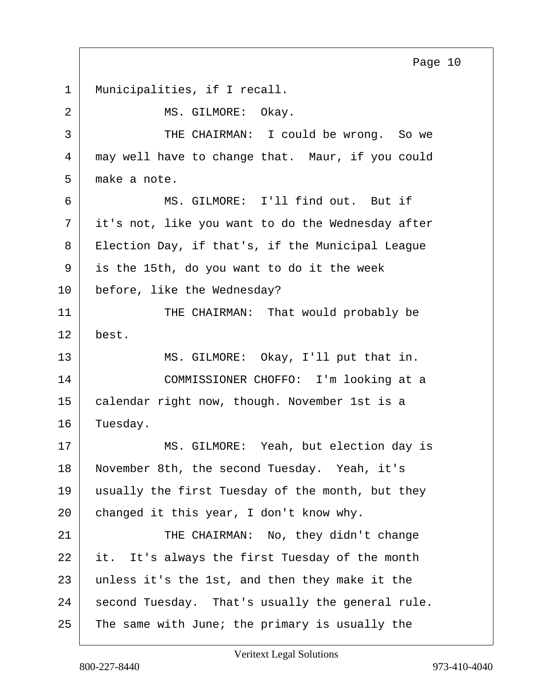Page 10

<span id="page-9-0"></span>1 | Municipalities, if I recall. 2 MS. GILMORE: Okav. 3 THE CHAIRMAN: I could be wrong. So we 4 may well have to change that. Maur, if you could 5 make a note. 6 MS. GILMORE: I'll find out. But if 7 it's not, like you want to do the Wednesday after 8 Election Day, if that's, if the Municipal League 9 is the 15th, do you want to do it the week 10 before, like the Wednesday? 11 THE CHAIRMAN: That would probably be 12 best. 13 MS. GILMORE: Okay, I'll put that in. 14 COMMISSIONER CHOFFO: I'm looking at a 15 calendar right now, though. November 1st is a 16 Tuesday. 17 MS. GILMORE: Yeah, but election day is 18 November 8th, the second Tuesday. Yeah, it's 19 usually the first Tuesday of the month, but they 20 changed it this year, I don't know why. 21 THE CHAIRMAN: No, they didn't change 22 it. It's always the first Tuesday of the month 23 unless it's the 1st, and then they make it the  $24$  second Tuesday. That's usually the general rule.  $25$  The same with June; the primary is usually the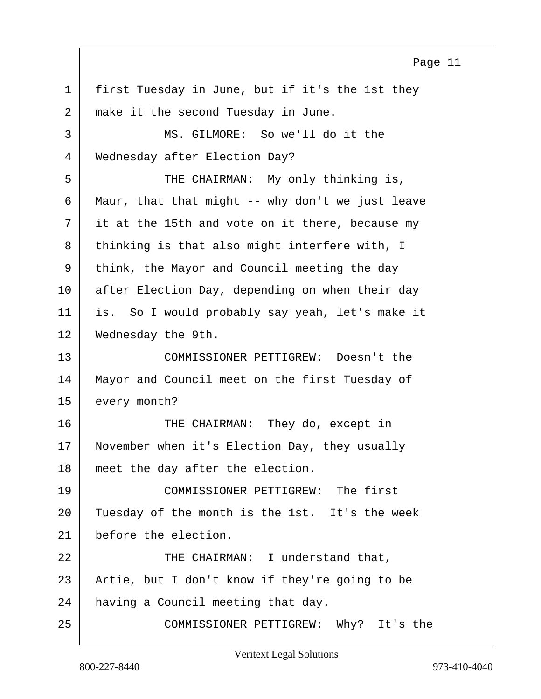Page 11

<span id="page-10-0"></span>1 first Tuesday in June, but if it's the 1st they 2 make it the second Tuesday in June. 3 MS. GILMORE: So we'll do it the 4 Wednesday after Election Day? 5 THE CHAIRMAN: My only thinking is, 6 Maur, that that might  $-$ - why don't we just leave  $7$  it at the 15th and vote on it there, because my 8 thinking is that also might interfere with, I 9 think, the Mayor and Council meeting the day 10 after Election Day, depending on when their day 11 is. So I would probably say yeah, let's make it 12 Wednesday the 9th. 13 COMMISSIONER PETTIGREW: Doesn't the 14 | Mayor and Council meet on the first Tuesday of 15 every month? 16 THE CHAIRMAN: They do, except in 17 November when it's Election Day, they usually 18 meet the day after the election. 19 COMMISSIONER PETTIGREW: The first 20 Tuesday of the month is the 1st. It's the week 21 before the election. 22 THE CHAIRMAN: I understand that, 23 Artie, but I don't know if they're going to be 24 having a Council meeting that day. 25 COMMISSIONER PETTIGREW: Why? It's the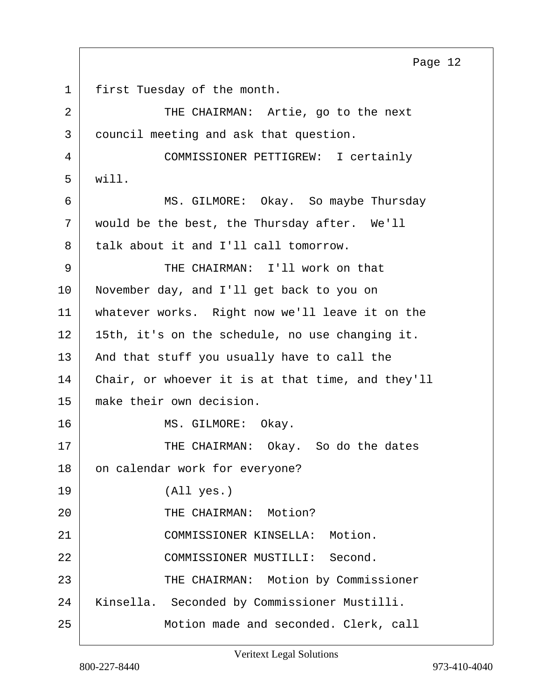5 will. 6 MS. GILMORE: Okay. So maybe Thursday 7 would be the best, the Thursday after. We'll 8 talk about it and I'll call tomorrow. 9 THE CHAIRMAN: I'll work on that 10 November day, and I'll get back to you on 11 whatever works. Right now we'll leave it on the 12 15th, it's on the schedule, no use changing it. 13 | And that stuff you usually have to call the 14 Chair, or whoever it is at that time, and they'll 15 make their own decision. 16 MS. GILMORE: Okay. 17 THE CHAIRMAN: Okay. So do the dates 18 on calendar work for everyone? 19 (All yes.) 20 THE CHAIRMAN: Motion? 21 COMMISSIONER KINSELLA: Motion. 22 COMMISSIONER MUSTILLI: Second. 23 | THE CHAIRMAN: Motion by Commissioner 24 Kinsella. Seconded by Commissioner Mustilli. 25 Motion made and seconded. Clerk, call

<span id="page-11-0"></span>1 | first Tuesday of the month.

2 THE CHAIRMAN: Artie, go to the next

4 COMMISSIONER PETTIGREW: I certainly

3 council meeting and ask that question.

Page 12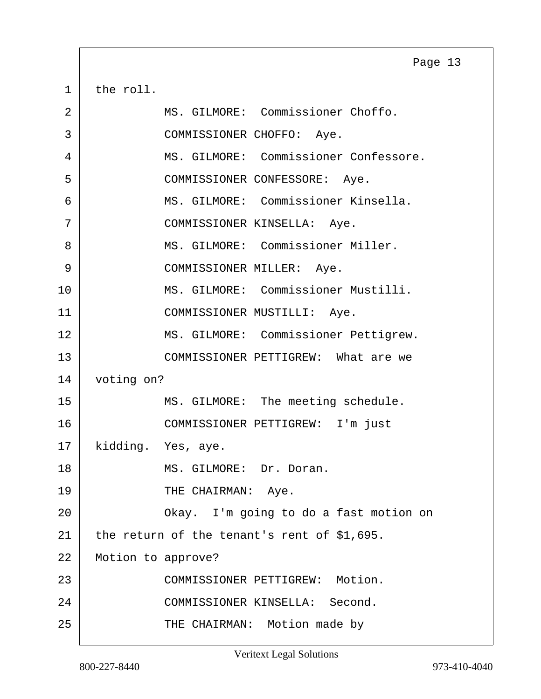<span id="page-12-0"></span> $1$  the roll.

| 2  | MS. GILMORE: Commissioner Choffo.           |
|----|---------------------------------------------|
| 3  | COMMISSIONER CHOFFO: Aye.                   |
| 4  | MS. GILMORE: Commissioner Confessore.       |
| 5  | COMMISSIONER CONFESSORE: Aye.               |
| 6  | MS. GILMORE: Commissioner Kinsella.         |
| 7  | COMMISSIONER KINSELLA: Aye.                 |
| 8  | MS. GILMORE: Commissioner Miller.           |
| 9  | COMMISSIONER MILLER: Aye.                   |
| 10 | MS. GILMORE: Commissioner Mustilli.         |
| 11 | COMMISSIONER MUSTILLI: Aye.                 |
| 12 | MS. GILMORE: Commissioner Pettigrew.        |
| 13 | COMMISSIONER PETTIGREW: What are we         |
| 14 | voting on?                                  |
| 15 | MS. GILMORE: The meeting schedule.          |
| 16 | COMMISSIONER PETTIGREW: I'm just            |
| 17 | kidding. Yes, aye.                          |
| 18 | MS. GILMORE: Dr. Doran.                     |
| 19 | THE CHAIRMAN: Aye.                          |
| 20 | Okay. I'm going to do a fast motion on      |
| 21 | the return of the tenant's rent of \$1,695. |
| 22 | Motion to approve?                          |
| 23 | COMMISSIONER PETTIGREW: Motion.             |
| 24 | COMMISSIONER KINSELLA: Second.              |
| 25 | THE CHAIRMAN: Motion made by                |

Page 13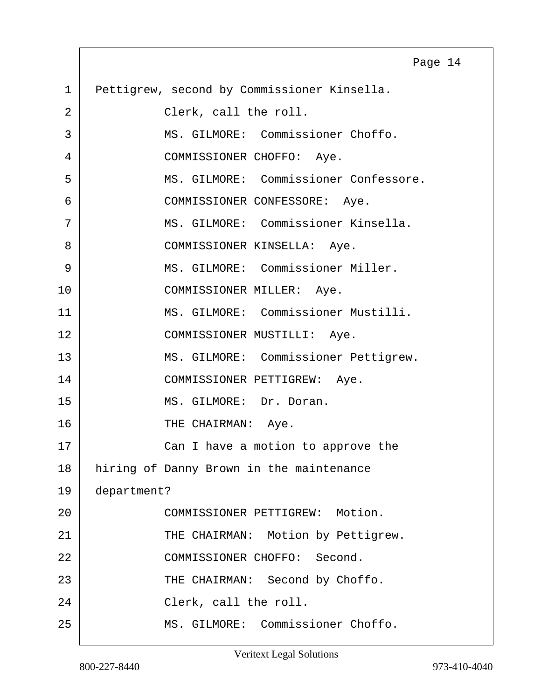<span id="page-13-0"></span>

|    | Page 14                                     |
|----|---------------------------------------------|
| 1  | Pettigrew, second by Commissioner Kinsella. |
| 2  | Clerk, call the roll.                       |
| 3  | MS. GILMORE: Commissioner Choffo.           |
| 4  | COMMISSIONER CHOFFO: Aye.                   |
| 5  | MS. GILMORE: Commissioner Confessore.       |
| 6  | COMMISSIONER CONFESSORE: Aye.               |
| 7  | MS. GILMORE: Commissioner Kinsella.         |
| 8  | COMMISSIONER KINSELLA: Aye.                 |
| 9  | MS. GILMORE: Commissioner Miller.           |
| 10 | COMMISSIONER MILLER: Aye.                   |
| 11 | MS. GILMORE: Commissioner Mustilli.         |
| 12 | COMMISSIONER MUSTILLI: Aye.                 |
| 13 | MS. GILMORE: Commissioner Pettigrew.        |
| 14 | COMMISSIONER PETTIGREW: Aye.                |
| 15 | MS. GILMORE: Dr. Doran.                     |
| 16 | THE CHAIRMAN: Aye.                          |
| 17 | Can I have a motion to approve the          |
| 18 | hiring of Danny Brown in the maintenance    |
| 19 | department?                                 |
| 20 | COMMISSIONER PETTIGREW: Motion.             |
| 21 | THE CHAIRMAN: Motion by Pettigrew.          |
| 22 | COMMISSIONER CHOFFO: Second.                |
| 23 | THE CHAIRMAN: Second by Choffo.             |
| 24 | Clerk, call the roll.                       |
| 25 | MS. GILMORE: Commissioner Choffo.           |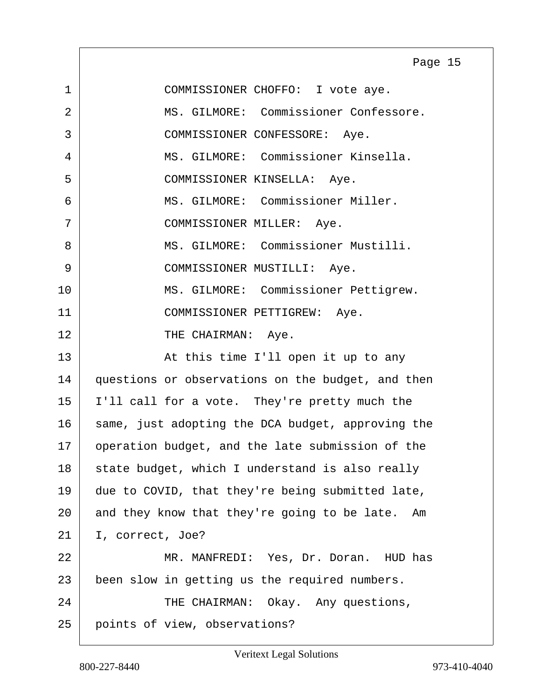<span id="page-14-0"></span>1 COMMISSIONER CHOFFO: I vote aye. 2 MS. GILMORE: Commissioner Confessore. 3 COMMISSIONER CONFESSORE: Aye. 4 MS. GILMORE: Commissioner Kinsella. 5 COMMISSIONER KINSELLA: Aye. 6 MS. GILMORE: Commissioner Miller. 7 COMMISSIONER MILLER: Aye. 8 MS. GILMORE: Commissioner Mustilli. 9 | COMMISSIONER MUSTILLI: Aye. 10 | MS. GILMORE: Commissioner Pettigrew. 11 | COMMISSIONER PETTIGREW: Aye. 12 THE CHAIRMAN: Aye. 13 | The Solution of this time I'll open it up to any 14 questions or observations on the budget, and then 15 | I'll call for a vote. They're pretty much the 16 same, just adopting the DCA budget, approving the 17 operation budget, and the late submission of the  $18$  state budget, which I understand is also really 19 due to COVID, that they're being submitted late, 20 and they know that they're going to be late. Am 21 | I, correct, Joe? 22 MR. MANFREDI: Yes, Dr. Doran. HUD has 23 been slow in getting us the required numbers. 24 THE CHAIRMAN: Okay. Any questions, 25 points of view, observations? Page 15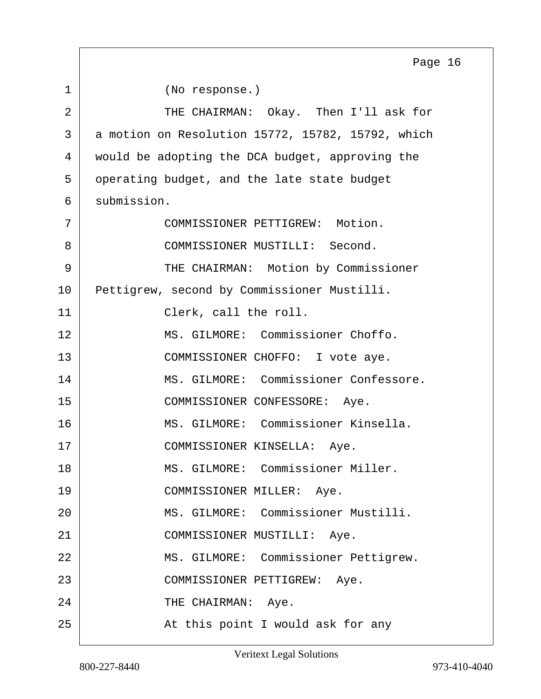<span id="page-15-0"></span>1 (No response.) 2 THE CHAIRMAN: Okay. Then I'll ask for 3 a motion on Resolution 15772, 15782, 15792, which 4 would be adopting the DCA budget, approving the 5 operating budget, and the late state budget 6 submission. 7 COMMISSIONER PETTIGREW: Motion. 8 COMMISSIONER MUSTILLI: Second. 9 THE CHAIRMAN: Motion by Commissioner 10 Pettigrew, second by Commissioner Mustilli. 11 Clerk, call the roll. 12 MS. GILMORE: Commissioner Choffo. 13 | COMMISSIONER CHOFFO: I vote aye. 14 MS. GILMORE: Commissioner Confessore. 15 | COMMISSIONER CONFESSORE: Aye. 16 MS. GILMORE: Commissioner Kinsella. 17 | COMMISSIONER KINSELLA: Aye. 18 MS. GILMORE: Commissioner Miller. 19 COMMISSIONER MILLER: Aye. 20 | MS. GILMORE: Commissioner Mustilli. 21 COMMISSIONER MUSTILLI: Aye. 22 | MS. GILMORE: Commissioner Pettigrew. 23 COMMISSIONER PETTIGREW: Aye. 24 THE CHAIRMAN: Aye. 25 | The Solid At this point I would ask for any Page 16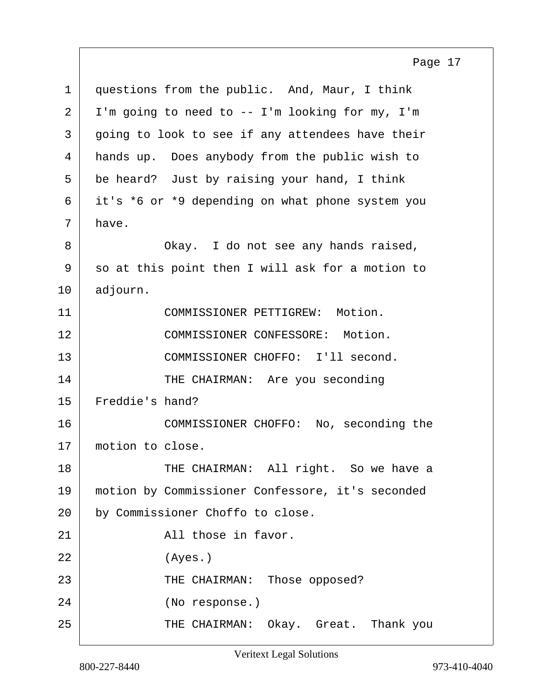<span id="page-16-0"></span>1 questions from the public. And, Maur, I think  $2$  | I'm going to need to -- I'm looking for my, I'm 3 going to look to see if any attendees have their 4 hands up. Does anybody from the public wish to 5 be heard? Just by raising your hand, I think 6 it's \*6 or \*9 depending on what phone system you  $7 \mid$  have. 8 Okay. I do not see any hands raised, 9 so at this point then I will ask for a motion to 10 adjourn. 11 COMMISSIONER PETTIGREW: Motion. 12 COMMISSIONER CONFESSORE: Motion. 13 COMMISSIONER CHOFFO: I'll second. 14 THE CHAIRMAN: Are you seconding 15 Freddie's hand? 16 COMMISSIONER CHOFFO: No, seconding the 17 motion to close. 18 THE CHAIRMAN: All right. So we have a 19 motion by Commissioner Confessore, it's seconded 20 by Commissioner Choffo to close. 21 All those in favor. 22 (Ayes.) 23 THE CHAIRMAN: Those opposed? 24 (No response.) 25 THE CHAIRMAN: Okay. Great. Thank you Page 17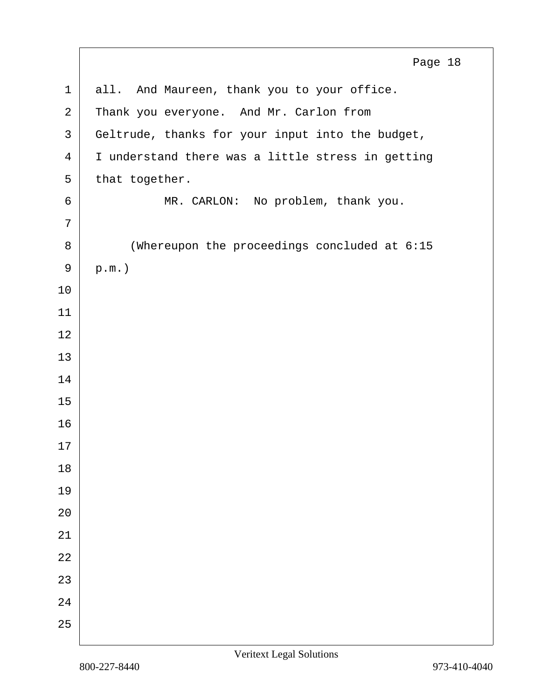<span id="page-17-0"></span> all. And Maureen, thank you to your office. 2 Thank you everyone. And Mr. Carlon from 3 Geltrude, thanks for your input into the budget, 4 I understand there was a little stress in getting that together. 6 MR. CARLON: No problem, thank you. 8 | Whereupon the proceedings concluded at 6:15  $9 \mid p.m.$  Page 18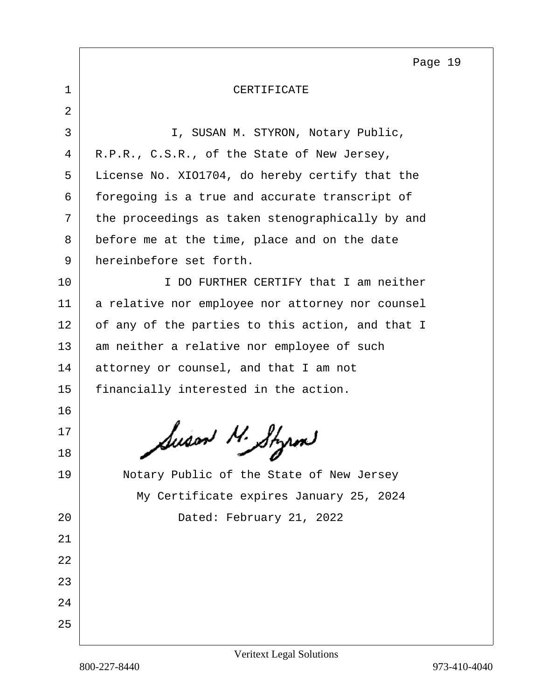Page 19

<span id="page-18-0"></span>

| I, SUSAN M. STYRON, Notary Public,               |  |  |
|--------------------------------------------------|--|--|
| R.P.R., C.S.R., of the State of New Jersey,      |  |  |
| License No. XIO1704, do hereby certify that the  |  |  |
| foregoing is a true and accurate transcript of   |  |  |
| the proceedings as taken stenographically by and |  |  |
| before me at the time, place and on the date     |  |  |
| hereinbefore set forth.                          |  |  |
| I DO FURTHER CERTIFY that I am neither           |  |  |
| a relative nor employee nor attorney nor counsel |  |  |
| of any of the parties to this action, and that I |  |  |
| am neither a relative nor employee of such       |  |  |
| attorney or counsel, and that I am not           |  |  |
| financially interested in the action.            |  |  |
|                                                  |  |  |
| Susan M. Styrm                                   |  |  |
|                                                  |  |  |
| Notary Public of the State of New Jersey         |  |  |
| My Certificate expires January 25, 2024          |  |  |
| Dated: February 21, 2022                         |  |  |
|                                                  |  |  |
|                                                  |  |  |
|                                                  |  |  |
|                                                  |  |  |
|                                                  |  |  |
|                                                  |  |  |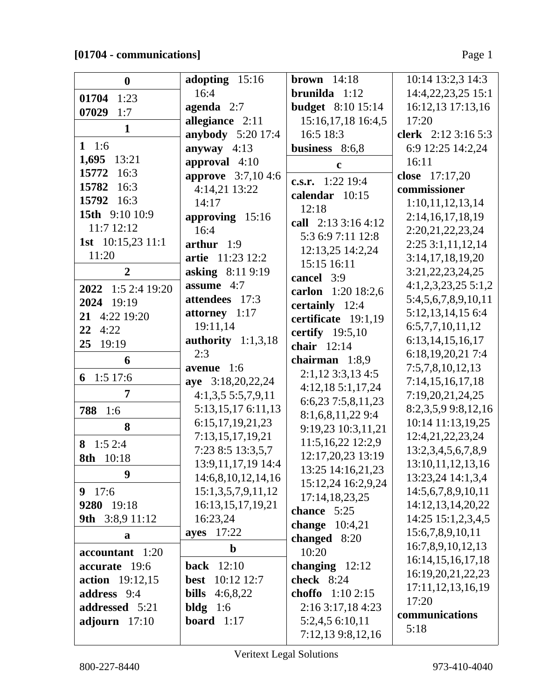## **[01704 - communications]** Page 1

| $\bf{0}$               | adopting 15:16                           | brown $14:18$                   | 10:14 13:2,3 14:3                     |
|------------------------|------------------------------------------|---------------------------------|---------------------------------------|
| 01704 1:23             | 16:4                                     | $brunilda 1:12$                 | 14:4,22,23,25 15:1                    |
| 07029<br>1:7           | agenda 2:7                               | <b>budget</b> 8:10 15:14        | 16:12,13 17:13,16                     |
| $\mathbf{1}$           | allegiance 2:11                          | 15:16,17,18 16:4,5              | 17:20                                 |
|                        | <b>anybody</b> 5:20 17:4                 | 16:5 18:3                       | clerk 2:12 3:16 5:3                   |
| 1 1:6                  | anyway $4:13$                            | business 8:6,8                  | 6:9 12:25 14:2,24                     |
| 1,695<br>13:21         | approval $4:10$                          | $\mathbf c$                     | 16:11                                 |
| 15772<br>16:3          | <b>approve</b> 3:7,104:6                 | c.s.r. $1:22$ 19:4              | close 17:17,20                        |
| 15782<br>16:3          | 4:14,21 13:22                            | calendar 10:15                  | commissioner                          |
| 15792 16:3             | 14:17                                    | 12:18                           | 1:10,11,12,13,14                      |
| 15th 9:10 10:9         | approving 15:16                          | call 2:13 3:16 4:12             | 2:14, 16, 17, 18, 19                  |
| 11:7 12:12             | 16:4                                     | 5:3 6:9 7:11 12:8               | 2:20,21,22,23,24                      |
| 1st $10:15,23$ 11:1    | arthur $1:9$                             | 12:13,25 14:2,24                | 2:253:1,11,12,14                      |
| 11:20                  | artie 11:23 12:2                         | 15:15 16:11                     | 3:14,17,18,19,20                      |
| $\overline{2}$         | asking 8:11 9:19                         | cancel 3:9                      | 3:21, 22, 23, 24, 25                  |
| 2022 1:5 2:4 19:20     | assume 4:7                               | carlon 1:20 18:2,6              | $4:1,2,3,23,25\ 5:1,2$                |
| 2024 19:19             | attendees 17:3                           | certainly 12:4                  | 5:4,5,6,7,8,9,10,11                   |
| 21 4:22 19:20          | attorney $1:17$                          | certificate 19:1,19             | 5:12, 13, 14, 15 6:4                  |
| $22 \quad 4:22$        | 19:11,14                                 | certify $19:5,10$               | 6:5,7,7,10,11,12                      |
| 25<br>19:19            | authority $1:1,3,18$                     | chair $12:14$                   | 6:13,14,15,16,17                      |
| 6                      | 2:3                                      | chairman $1:8,9$                | 6:18,19,20,21 7:4                     |
| 6 1:5 17:6             | avenue 1:6                               | $2:1,12$ 3:3,13 4:5             | 7:5,7,8,10,12,13                      |
| 7                      | aye 3:18,20,22,24                        | 4:12,18 5:1,17,24               | 7:14,15,16,17,18                      |
|                        | 4:1,3,55:5,7,9,11                        | 6:6,23 7:5,8,11,23              | 7:19,20,21,24,25                      |
| 788 1:6                | 5:13,15,17 6:11,13                       | 8:1,6,8,11,22 9:4               | 8:2,3,5,9 9:8,12,16                   |
| 8                      | 6:15, 17, 19, 21, 23<br>7:13,15,17,19,21 | 9:19,23 10:3,11,21              | 10:14 11:13,19,25<br>12:4,21,22,23,24 |
| 8 $1:52:4$             | 7:23 8:5 13:3,5,7                        | 11:5,16,22 12:2,9               | 13:2,3,4,5,6,7,8,9                    |
| 8th 10:18              | 13:9, 11, 17, 19 14: 4                   | 12:17,20,23 13:19               | 13:10, 11, 12, 13, 16                 |
| 9                      | 14:6,8,10,12,14,16                       | 13:25 14:16,21,23               | 13:23,24 14:1,3,4                     |
| 9 $17:6$               | 15:1,3,5,7,9,11,12                       | 15:12,24 16:2,9,24              | 14:5,6,7,8,9,10,11                    |
| 9280 19:18             | 16:13,15,17,19,21                        | 17:14,18,23,25                  | 14:12,13,14,20,22                     |
| 9th 3:8,9 11:12        | 16:23,24                                 | chance 5:25<br>change $10:4,21$ | 14:25 15:1,2,3,4,5                    |
| a                      | 17:22<br>ayes                            | changed 8:20                    | 15:6,7,8,9,10,11                      |
| accountant 1:20        | $\mathbf b$                              | 10:20                           | 16:7,8,9,10,12,13                     |
| accurate 19:6          | 12:10<br>back                            | changing $12:12$                | 16:14,15,16,17,18                     |
| <b>action</b> 19:12,15 | 10:12 12:7<br>best                       | check 8:24                      | 16:19,20,21,22,23                     |
| address 9:4            | <b>bills</b><br>4:6,8,22                 | choffo 1:10 2:15                | 17:11, 12, 13, 16, 19                 |
| addressed 5:21         | bldg $1:6$                               | 2:16 3:17,18 4:23               | 17:20                                 |
| adjourn 17:10          | <b>board</b> $1:17$                      | 5:2,4,5 6:10,11                 | communications                        |
|                        |                                          | 7:12,13 9:8,12,16               | 5:18                                  |

 $\lfloor$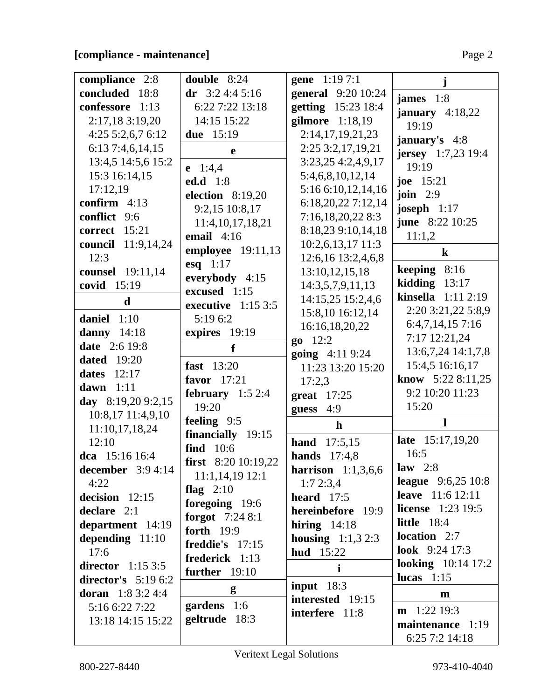| compliance 2:8       | double 8:24              | gene 1:19 7:1              |                            |
|----------------------|--------------------------|----------------------------|----------------------------|
| concluded 18:8       | dr $3:24:45:16$          | <b>general</b> 9:20 10:24  | james $1:8$                |
| confessore 1:13      | 6:22 7:22 13:18          | getting 15:23 18:4         | january $4:18,22$          |
| 2:17,18 3:19,20      | 14:15 15:22              | gilmore 1:18,19            | 19:19                      |
| 4:255:2,6,76:12      | due 15:19                | 2:14,17,19,21,23           |                            |
| 6:13 7:4,6,14,15     | e                        | 2:25 3:2,17,19,21          | january's 4:8              |
| 13:4,5 14:5,6 15:2   |                          | 3:23,25 4:2,4,9,17         | <b>jersey</b> 1:7,23 19:4  |
| 15:3 16:14,15        | $e$ 1:4,4                | 5:4,6,8,10,12,14           | 19:19                      |
| 17:12,19             | <b>ed.d</b> 1:8          | 5:16 6:10,12,14,16         | joe 15:21                  |
| confirm $4:13$       | <b>election</b> 8:19,20  | 6:18,20,22 7:12,14         | join $2:9$                 |
| conflict 9:6         | 9:2,15 10:8,17           | 7:16,18,20,228:3           | joseph $1:17$              |
| correct 15:21        | 11:4, 10, 17, 18, 21     | 8:18,23 9:10,14,18         | <b>june</b> 8:22 10:25     |
| council 11:9,14,24   | email $4:16$             | $10:2,6,13,17$ 11:3        | 11:1,2                     |
| 12:3                 | <b>employee</b> 19:11,13 | 12:6,16 13:2,4,6,8         | $\bf k$                    |
| counsel 19:11,14     | esq $1:17$               | 13:10, 12, 15, 18          | keeping $8:16$             |
| covid 15:19          | everybody $4:15$         | 14:3,5,7,9,11,13           | kidding $13:17$            |
| d                    | excused 1:15             | 14:15,25 15:2,4,6          | kinsella 1:11 2:19         |
|                      | executive $1:153:5$      | 15:8,10 16:12,14           | 2:20 3:21,22 5:8,9         |
| daniel $1:10$        | 5:19 6:2                 | 16:16,18,20,22             | 6:4,7,14,157:16            |
| danny 14:18          | expires 19:19            | $go$ 12:2                  | 7:17 12:21,24              |
| date 2:6 19:8        | f                        | going 4:11 9:24            | 13:6,7,24 14:1,7,8         |
| <b>dated</b> 19:20   | fast 13:20               | 11:23 13:20 15:20          | 15:4,5 16:16,17            |
| dates 12:17          | favor $17:21$            | 17:2,3                     | <b>know</b> $5:228:11,25$  |
| dawn $1:11$          | february $1:52:4$        | great $17:25$              | 9:2 10:20 11:23            |
| day 8:19,20 9:2,15   | 19:20                    | 4:9<br>guess               | 15:20                      |
| 10:8,17 11:4,9,10    | feeling 9:5              |                            |                            |
| 11:10,17,18,24       | financially 19:15        | h                          |                            |
| 12:10                | find 10:6                | hand<br>17:5,15            | <b>late</b> 15:17,19,20    |
| dca 15:16 16:4       | first 8:20 10:19,22      | 17:4,8<br>hands            | 16:5                       |
| december $3:94:14$   | $11:1,14,19$ 12:1        | harrison $1:1,3,6,6$       | law $2:8$                  |
| 4:22                 | flag $2:10$              | 1:72:3,4                   | league $9:6,2510:8$        |
| decision $12:15$     | foregoing 19:6           | heard $17:5$               | <b>leave</b> 11:6 12:11    |
| declare 2:1          | <b>forgot</b> $7:248:1$  | hereinbefore 19:9          | <b>license</b> $1:23$ 19:5 |
| department 14:19     | forth 19:9               | hiring $14:18$             | <b>little</b> 18:4         |
| depending $11:10$    | freddie's 17:15          | <b>housing</b> $1:1,3,2:3$ | location 2:7               |
| 17:6                 | frederick 1:13           | <b>hud</b> 15:22           | <b>look</b> $9:24$ 17:3    |
| director $1:153:5$   | further $19:10$          | $\mathbf{i}$               | looking $10:14$ 17:2       |
| director's $5:196:2$ |                          | input $18:3$               | lucas $1:15$               |
| doran $1:83:24:4$    | g                        | interested 19:15           | m                          |
| 5:16 6:22 7:22       | gardens 1:6              | interfere 11:8             | $m$ 1:22 19:3              |
| 13:18 14:15 15:22    | geltrude 18:3            |                            | maintenance 1:19           |
|                      |                          |                            | 6:25 7:2 14:18             |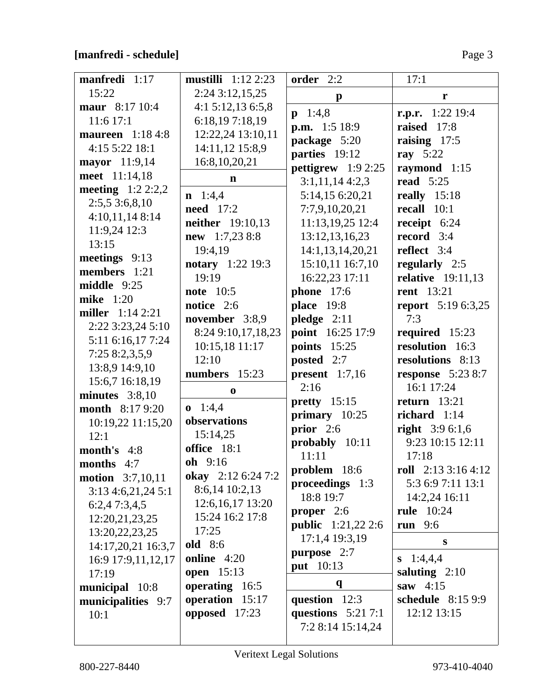## **[manfredi - schedule]** Page 3

| manfredi 1:17            | mustilli $1:12\,2:23$            | order 2:2                                        | 17:1                                      |
|--------------------------|----------------------------------|--------------------------------------------------|-------------------------------------------|
| 15:22                    | 2:24 3:12,15,25                  | $\mathbf{p}$                                     | r                                         |
| maur 8:17 10:4           | 4:1 5:12,13 6:5,8                | $p \quad 1:4,8$                                  | r.p.r. $1:22$ 19:4                        |
| $11:6$ 17:1              | 6:18,197:18,19                   | <b>p.m.</b> 1:5 18:9                             | raised 17:8                               |
| <b>maureen</b> 1:18 4:8  | 12:22,24 13:10,11                | package 5:20                                     | raising 17:5                              |
| 4:15 5:22 18:1           | 14:11,12 15:8,9                  | parties 19:12                                    | ray $5:22$                                |
| mayor 11:9,14            | 16:8, 10, 20, 21                 | pettigrew $1:92:25$                              | raymond 1:15                              |
| meet 11:14,18            | $\mathbf n$                      | 3:1,11,144:2,3                                   | <b>read</b> 5:25                          |
| meeting $1:22:2,2$       | $n \quad 1:4,4$                  | 5:14,15 6:20,21                                  | really $15:18$                            |
| 2:5,53:6,8,10            | <b>need</b> 17:2                 | 7:7,9,10,20,21                                   | recall 10:1                               |
| 4:10,11,148:14           | <b>neither</b> 19:10,13          | 11:13,19,25 12:4                                 | receipt $6:24$                            |
| 11:9,24 12:3             | new 1:7,23 8:8                   | 13:12,13,16,23                                   | record $3:4$                              |
| 13:15                    | 19:4,19                          | 14:1,13,14,20,21                                 | reflect 3:4                               |
| meetings $9:13$          |                                  | 15:10,11 16:7,10                                 |                                           |
| members 1:21             | <b>notary</b> 1:22 19:3<br>19:19 | 16:22,23 17:11                                   | regularly 2:5<br><b>relative</b> 19:11,13 |
| middle $9:25$            | <b>note</b> 10:5                 |                                                  | <b>rent</b> 13:21                         |
| <b>mike</b> 1:20         | notice 2:6                       | <b>phone</b> 17:6                                |                                           |
| <b>miller</b> $1:142:21$ | november 3:8,9                   | <b>place</b> 19:8<br>pledge $2:11$               | <b>report</b> 5:19 6:3,25<br>7:3          |
| 2:22 3:23,24 5:10        |                                  | point 16:25 17:9                                 |                                           |
| 5:11 6:16,17 7:24        | 8:24 9:10,17,18,23               | <b>points</b> 15:25                              | required 15:23<br>resolution 16:3         |
| 7:25 8:2,3,5,9           | 10:15,18 11:17<br>12:10          |                                                  | resolutions 8:13                          |
| 13:8,9 14:9,10           | numbers 15:23                    | posted 2:7                                       |                                           |
| 15:6,7 16:18,19          |                                  | present $1:7,16$<br>2:16                         | response $5:238:7$<br>16:1 17:24          |
| minutes $3:8,10$         | $\bf{0}$                         |                                                  | return $13:21$                            |
| <b>month</b> 8:17 9:20   | $0 \quad 1:4,4$                  | pretty 15:15                                     | richard $1:14$                            |
| 10:19,22 11:15,20        | observations                     | primary 10:25<br>prior $2:6$                     |                                           |
| 12:1                     | 15:14,25                         |                                                  | right $3:96:1,6$<br>9:23 10:15 12:11      |
| month's $4:8$            | office 18:1                      | probably 10:11<br>11:11                          | 17:18                                     |
| months 4:7               | oh 9:16                          |                                                  | roll $2:133:164:12$                       |
| <b>motion</b> 3:7,10,11  | okay 2:12 6:24 7:2               | problem 18:6                                     | 5:3 6:9 7:11 13:1                         |
| 3:13 4:6,21,24 5:1       | 8:6,14 10:2,13                   | proceedings 1:3<br>18:8 19:7                     | 14:2,24 16:11                             |
| 6:2,47:3,4,5             | 12:6, 16, 17 13:20               |                                                  | <b>rule</b> 10:24                         |
| 12:20,21,23,25           | 15:24 16:2 17:8                  | <b>proper</b> $2:6$<br><b>public</b> 1:21,22 2:6 | run $9:6$                                 |
| 13:20, 22, 23, 25        | 17:25                            |                                                  |                                           |
| 14:17,20,21 16:3,7       | <b>old</b> 8:6                   | 17:1,4 19:3,19                                   | S                                         |
| 16:9 17:9,11,12,17       | online 4:20                      | purpose 2:7                                      | $s$ 1:4,4,4                               |
| 17:19                    | <b>open</b> 15:13                | put 10:13                                        | saluting $2:10$                           |
| municipal 10:8           | operating 16:5                   | $\mathbf{q}$                                     | saw $4:15$                                |
| municipalities 9:7       | operation 15:17                  | question 12:3                                    | schedule 8:15 9:9                         |
| 10:1                     | opposed 17:23                    | questions $5:217:1$                              | 12:12 13:15                               |
|                          |                                  | 7:2 8:14 15:14,24                                |                                           |
|                          |                                  |                                                  |                                           |